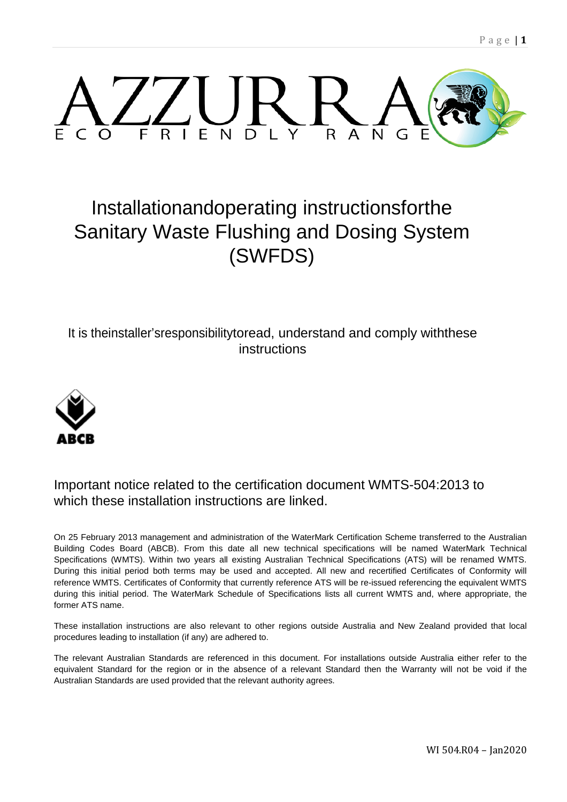

# Installationandoperating instructionsforthe Sanitary Waste Flushing and Dosing System (SWFDS)

It is theinstaller'sresponsibilitytoread, understand and comply withthese instructions



### Important notice related to the certification document WMTS-504:2013 to which these installation instructions are linked.

On 25 February 2013 management and administration of the WaterMark Certification Scheme transferred to the Australian Building Codes Board (ABCB). From this date all new technical specifications will be named WaterMark Technical Specifications (WMTS). Within two years all existing Australian Technical Specifications (ATS) will be renamed WMTS. During this initial period both terms may be used and accepted. All new and recertified Certificates of Conformity will reference WMTS. Certificates of Conformity that currently reference ATS will be re-issued referencing the equivalent WMTS during this initial period. The WaterMark Schedule of Specifications lists all current WMTS and, where appropriate, the former ATS name.

These installation instructions are also relevant to other regions outside Australia and New Zealand provided that local procedures leading to installation (if any) are adhered to.

The relevant Australian Standards are referenced in this document. For installations outside Australia either refer to the equivalent Standard for the region or in the absence of a relevant Standard then the Warranty will not be void if the Australian Standards are used provided that the relevant authority agrees.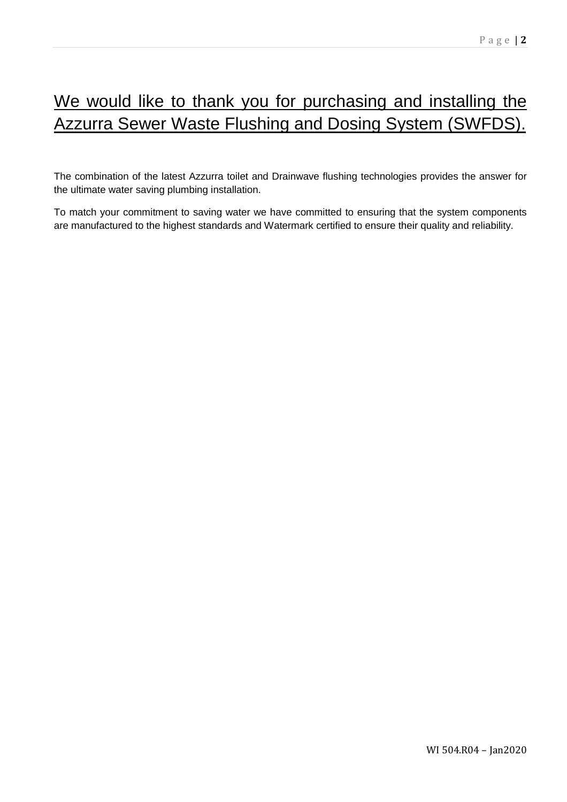# We would like to thank you for purchasing and installing the Azzurra Sewer Waste Flushing and Dosing System (SWFDS).

The combination of the latest Azzurra toilet and Drainwave flushing technologies provides the answer for the ultimate water saving plumbing installation.

To match your commitment to saving water we have committed to ensuring that the system components are manufactured to the highest standards and Watermark certified to ensure their quality and reliability.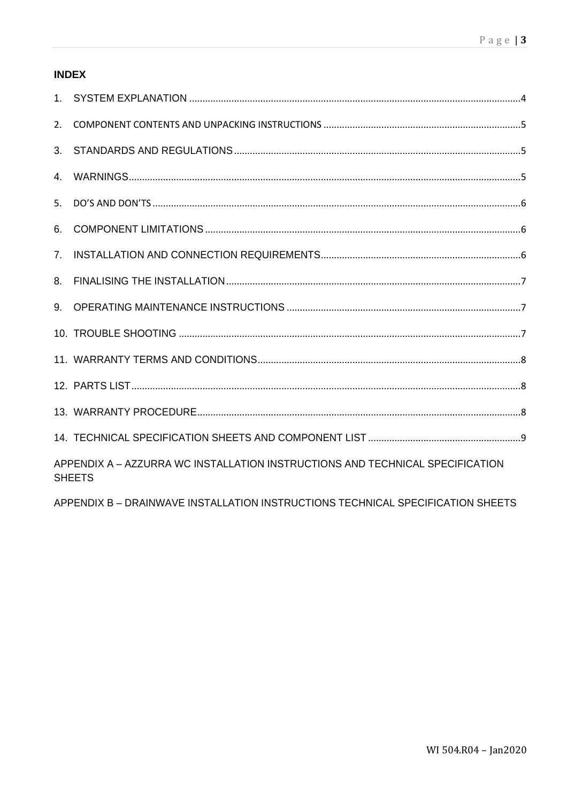### **INDEX**

| 2.                                                                                             |  |
|------------------------------------------------------------------------------------------------|--|
| 3.                                                                                             |  |
| $\overline{4}$                                                                                 |  |
| 5.                                                                                             |  |
| 6.                                                                                             |  |
| 7 <sub>1</sub>                                                                                 |  |
| 8.                                                                                             |  |
|                                                                                                |  |
|                                                                                                |  |
|                                                                                                |  |
|                                                                                                |  |
|                                                                                                |  |
|                                                                                                |  |
| APPENDIX A - AZZURRA WC INSTALLATION INSTRUCTIONS AND TECHNICAL SPECIFICATION<br><b>SHEETS</b> |  |

APPENDIX B - DRAINWAVE INSTALLATION INSTRUCTIONS TECHNICAL SPECIFICATION SHEETS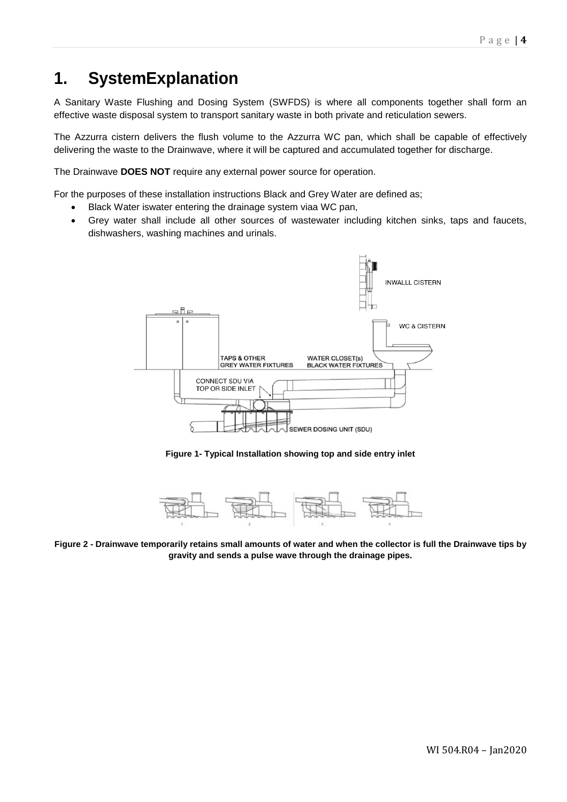# **1. SystemExplanation**

A Sanitary Waste Flushing and Dosing System (SWFDS) is where all components together shall form an effective waste disposal system to transport sanitary waste in both private and reticulation sewers.

The Azzurra cistern delivers the flush volume to the Azzurra WC pan, which shall be capable of effectively delivering the waste to the Drainwave, where it will be captured and accumulated together for discharge.

The Drainwave **DOES NOT** require any external power source for operation.

For the purposes of these installation instructions Black and Grey Water are defined as;

- Black Water iswater entering the drainage system viaa WC pan,
- Grey water shall include all other sources of wastewater including kitchen sinks, taps and faucets, dishwashers, washing machines and urinals.



**Figure 1- Typical Installation showing top and side entry inlet**



**Figure 2 - Drainwave temporarily retains small amounts of water and when the collector is full the Drainwave tips by gravity and sends a pulse wave through the drainage pipes.**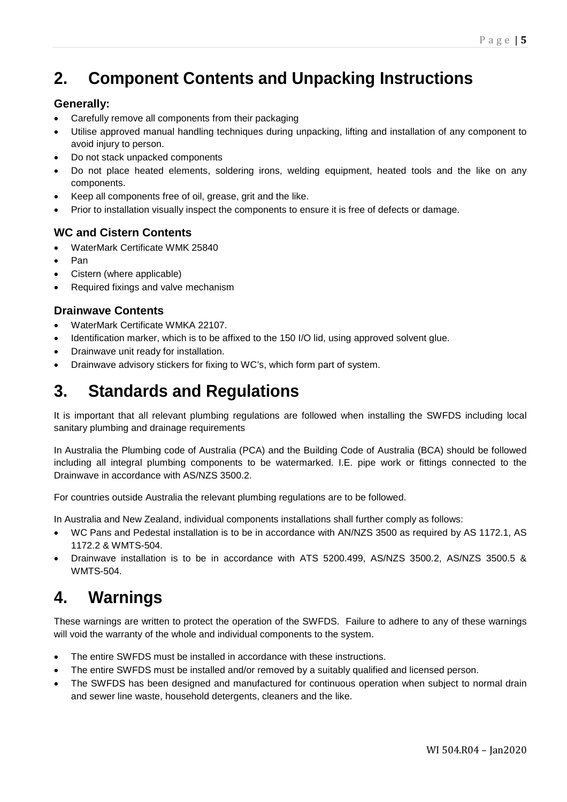# **2. Component Contents and Unpacking Instructions**

### **Generally:**

- Carefully remove all components from their packaging
- Utilise approved manual handling techniques during unpacking, lifting and installation of any component to avoid injury to person.
- Do not stack unpacked components
- Do not place heated elements, soldering irons, welding equipment, heated tools and the like on any components.
- Keep all components free of oil, grease, grit and the like.
- Prior to installation visually inspect the components to ensure it is free of defects or damage.

### **WC and Cistern Contents**

- WaterMark Certificate WMK 25840
- Pan
- Cistern (where applicable)
- Required fixings and valve mechanism

### **Drainwave Contents**

- WaterMark Certificate WMKA 22107.
- Identification marker, which is to be affixed to the 150 I/O lid, using approved solvent glue.
- Drainwave unit ready for installation.
- Drainwave advisory stickers for fixing to WC's, which form part of system.

## **3. Standards and Regulations**

It is important that all relevant plumbing regulations are followed when installing the SWFDS including local sanitary plumbing and drainage requirements

In Australia the Plumbing code of Australia (PCA) and the Building Code of Australia (BCA) should be followed including all integral plumbing components to be watermarked. I.E. pipe work or fittings connected to the Drainwave in accordance with AS/NZS 3500.2.

For countries outside Australia the relevant plumbing regulations are to be followed.

In Australia and New Zealand, individual components installations shall further comply as follows:

- WC Pans and Pedestal installation is to be in accordance with AN/NZS 3500 as required by AS 1172.1, AS 1172.2 & WMTS-504.
- Drainwave installation is to be in accordance with ATS 5200.499, AS/NZS 3500.2, AS/NZS 3500.5 & WMTS-504.

## **4. Warnings**

These warnings are written to protect the operation of the SWFDS. Failure to adhere to any of these warnings will void the warranty of the whole and individual components to the system.

- The entire SWFDS must be installed in accordance with these instructions.
- The entire SWFDS must be installed and/or removed by a suitably qualified and licensed person.
- The SWFDS has been designed and manufactured for continuous operation when subject to normal drain and sewer line waste, household detergents, cleaners and the like.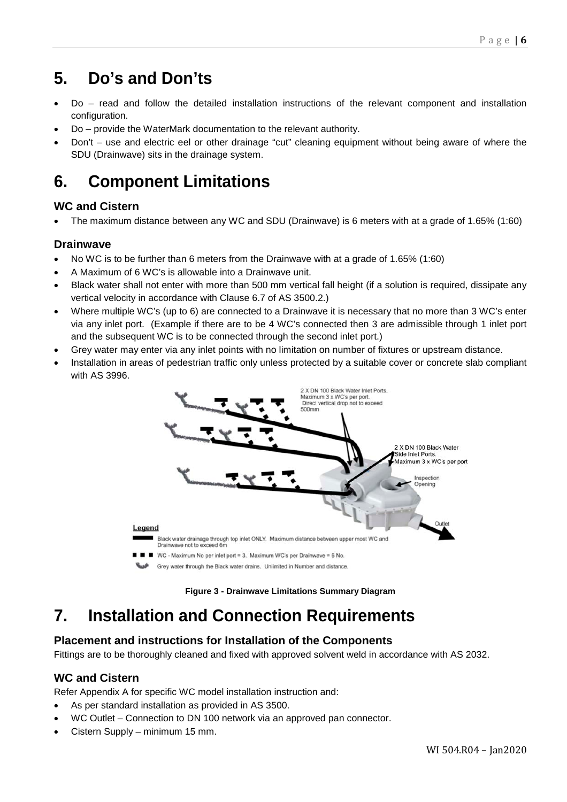# **5. Do's and Don'ts**

- Do read and follow the detailed installation instructions of the relevant component and installation configuration.
- Do provide the WaterMark documentation to the relevant authority.
- Don't use and electric eel or other drainage "cut" cleaning equipment without being aware of where the SDU (Drainwave) sits in the drainage system.

# **6. Component Limitations**

### **WC and Cistern**

• The maximum distance between any WC and SDU (Drainwave) is 6 meters with at a grade of 1.65% (1:60)

### **Drainwave**

- No WC is to be further than 6 meters from the Drainwave with at a grade of 1.65% (1:60)
- A Maximum of 6 WC's is allowable into a Drainwave unit.
- Black water shall not enter with more than 500 mm vertical fall height (if a solution is required, dissipate any vertical velocity in accordance with Clause 6.7 of AS 3500.2.)
- Where multiple WC's (up to 6) are connected to a Drainwave it is necessary that no more than 3 WC's enter via any inlet port. (Example if there are to be 4 WC's connected then 3 are admissible through 1 inlet port and the subsequent WC is to be connected through the second inlet port.)
- Grey water may enter via any inlet points with no limitation on number of fixtures or upstream distance.
- Installation in areas of pedestrian traffic only unless protected by a suitable cover or concrete slab compliant with AS 3996.



**Figure 3 - Drainwave Limitations Summary Diagram**

# **7. Installation and Connection Requirements**

### **Placement and instructions for Installation of the Components**

Fittings are to be thoroughly cleaned and fixed with approved solvent weld in accordance with AS 2032.

### **WC and Cistern**

Refer Appendix A for specific WC model installation instruction and:

- As per standard installation as provided in AS 3500.
- WC Outlet Connection to DN 100 network via an approved pan connector.
- Cistern Supply minimum 15 mm.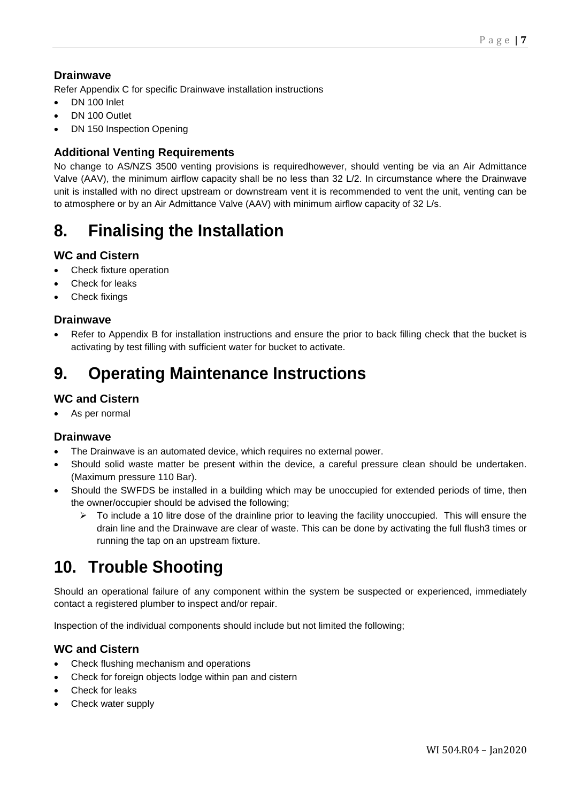### **Drainwave**

Refer Appendix C for specific Drainwave installation instructions

- DN 100 Inlet
- DN 100 Outlet
- DN 150 Inspection Opening

### **Additional Venting Requirements**

No change to AS/NZS 3500 venting provisions is requiredhowever, should venting be via an Air Admittance Valve (AAV), the minimum airflow capacity shall be no less than 32 L/2. In circumstance where the Drainwave unit is installed with no direct upstream or downstream vent it is recommended to vent the unit, venting can be to atmosphere or by an Air Admittance Valve (AAV) with minimum airflow capacity of 32 L/s.

## **8. Finalising the Installation**

#### **WC and Cistern**

- Check fixture operation
- Check for leaks
- Check fixings

#### **Drainwave**

Refer to Appendix B for installation instructions and ensure the prior to back filling check that the bucket is activating by test filling with sufficient water for bucket to activate.

## **9. Operating Maintenance Instructions**

### **WC and Cistern**

As per normal

#### **Drainwave**

- The Drainwave is an automated device, which requires no external power.
- Should solid waste matter be present within the device, a careful pressure clean should be undertaken. (Maximum pressure 110 Bar).
- Should the SWFDS be installed in a building which may be unoccupied for extended periods of time, then the owner/occupier should be advised the following;
	- $\triangleright$  To include a 10 litre dose of the drainline prior to leaving the facility unoccupied. This will ensure the drain line and the Drainwave are clear of waste. This can be done by activating the full flush3 times or running the tap on an upstream fixture.

## **10. Trouble Shooting**

Should an operational failure of any component within the system be suspected or experienced, immediately contact a registered plumber to inspect and/or repair.

Inspection of the individual components should include but not limited the following;

#### **WC and Cistern**

- Check flushing mechanism and operations
- Check for foreign objects lodge within pan and cistern
- Check for leaks
- Check water supply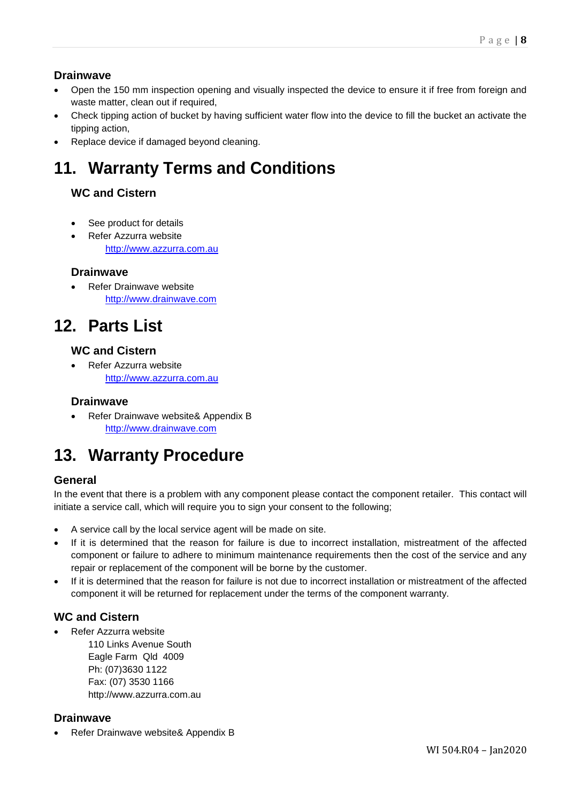### **Drainwave**

- Open the 150 mm inspection opening and visually inspected the device to ensure it if free from foreign and waste matter, clean out if required,
- Check tipping action of bucket by having sufficient water flow into the device to fill the bucket an activate the tipping action,
- Replace device if damaged beyond cleaning.

# **11. Warranty Terms and Conditions**

### **WC and Cistern**

- See product for details
- Refer Azzurra website [http://www.azzurra.com.au](http://www.azzurra.com.au/)

### **Drainwave**

Refer Drainwave website [http://www.drainwave.com](http://www.drainwave.com/)

## **12. Parts List**

### **WC and Cistern**

• Refer Azzurra website [http://www.azzurra.com.au](http://www.azzurra.com.au/)

#### **Drainwave**

• Refer Drainwave website& Appendix B [http://www.drainwave.com](http://www.drainwave.com/)

# **13. Warranty Procedure**

### **General**

In the event that there is a problem with any component please contact the component retailer. This contact will initiate a service call, which will require you to sign your consent to the following;

- A service call by the local service agent will be made on site.
- If it is determined that the reason for failure is due to incorrect installation, mistreatment of the affected component or failure to adhere to minimum maintenance requirements then the cost of the service and any repair or replacement of the component will be borne by the customer.
- If it is determined that the reason for failure is not due to incorrect installation or mistreatment of the affected component it will be returned for replacement under the terms of the component warranty.

### **WC and Cistern**

• Refer Azzurra website

110 Links Avenue South Eagle Farm Qld 4009 Ph: (07)3630 1122 Fax: (07) 3530 1166 http://www.azzurra.com.au

#### **Drainwave**

• Refer Drainwave website& Appendix B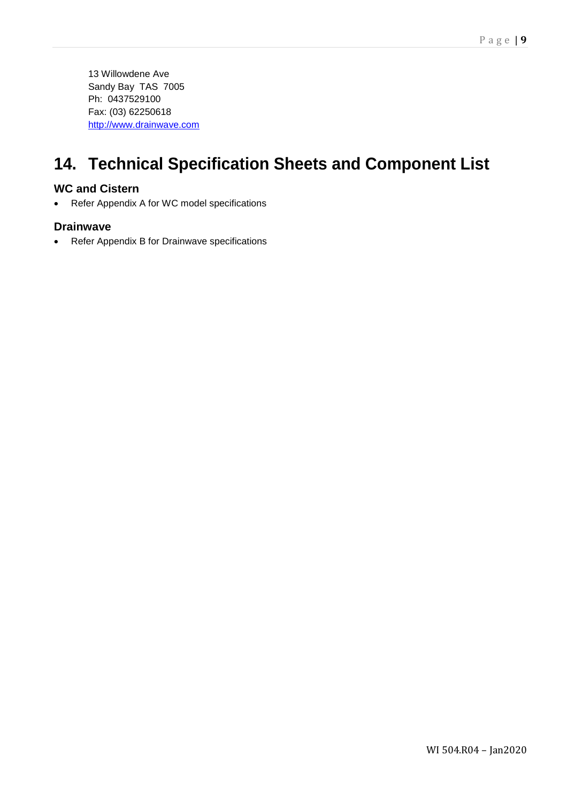## **14. Technical Specification Sheets and Component List**

### **WC and Cistern**

• Refer Appendix A for WC model specifications

#### **Drainwave**

• Refer Appendix B for Drainwave specifications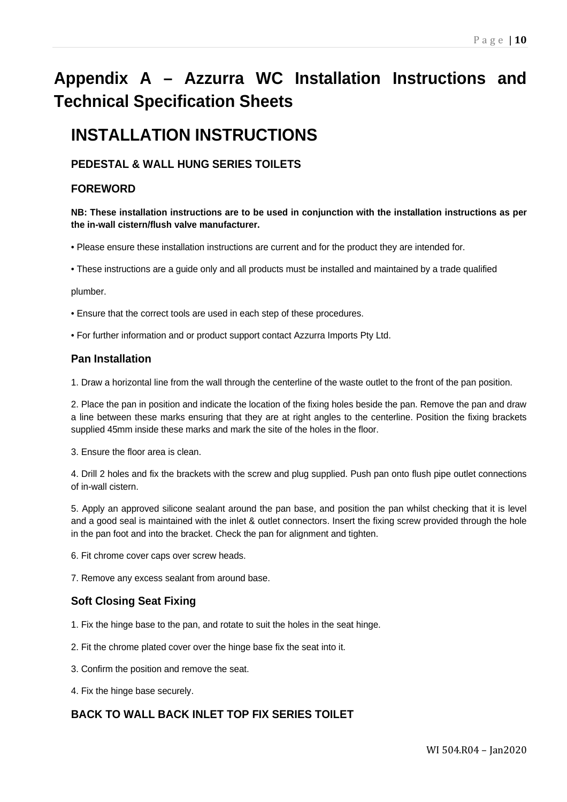# **Appendix A – Azzurra WC Installation Instructions and Technical Specification Sheets**

## **INSTALLATION INSTRUCTIONS**

### **PEDESTAL & WALL HUNG SERIES TOILETS**

### **FOREWORD**

#### **NB: These installation instructions are to be used in conjunction with the installation instructions as per the in-wall cistern/flush valve manufacturer.**

• Please ensure these installation instructions are current and for the product they are intended for.

• These instructions are a guide only and all products must be installed and maintained by a trade qualified

plumber.

• Ensure that the correct tools are used in each step of these procedures.

• For further information and or product support contact Azzurra Imports Pty Ltd.

#### **Pan Installation**

1. Draw a horizontal line from the wall through the centerline of the waste outlet to the front of the pan position.

2. Place the pan in position and indicate the location of the fixing holes beside the pan. Remove the pan and draw a line between these marks ensuring that they are at right angles to the centerline. Position the fixing brackets supplied 45mm inside these marks and mark the site of the holes in the floor.

3. Ensure the floor area is clean.

4. Drill 2 holes and fix the brackets with the screw and plug supplied. Push pan onto flush pipe outlet connections of in-wall cistern.

5. Apply an approved silicone sealant around the pan base, and position the pan whilst checking that it is level and a good seal is maintained with the inlet & outlet connectors. Insert the fixing screw provided through the hole in the pan foot and into the bracket. Check the pan for alignment and tighten.

6. Fit chrome cover caps over screw heads.

7. Remove any excess sealant from around base.

#### **Soft Closing Seat Fixing**

1. Fix the hinge base to the pan, and rotate to suit the holes in the seat hinge.

2. Fit the chrome plated cover over the hinge base fix the seat into it.

3. Confirm the position and remove the seat.

4. Fix the hinge base securely.

#### **BACK TO WALL BACK INLET TOP FIX SERIES TOILET**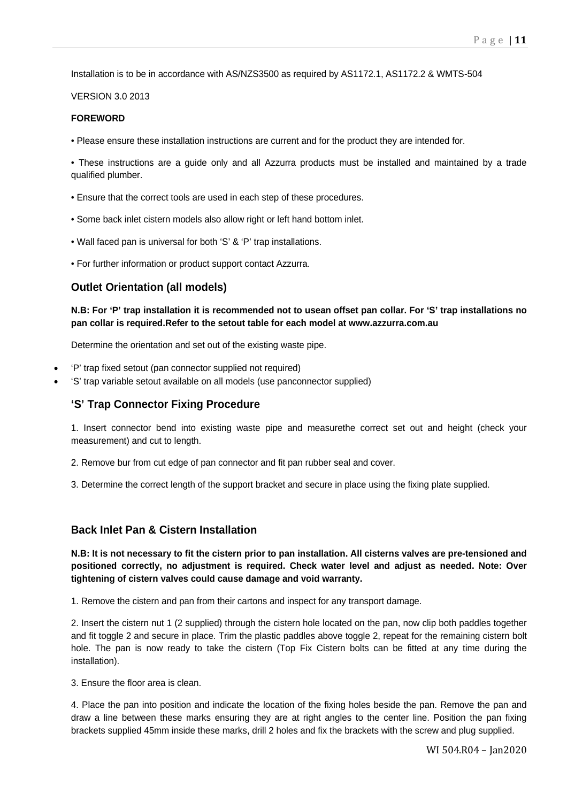Installation is to be in accordance with AS/NZS3500 as required by AS1172.1, AS1172.2 & WMTS-504

VERSION 3.0 2013

#### **FOREWORD**

• Please ensure these installation instructions are current and for the product they are intended for.

• These instructions are a guide only and all Azzurra products must be installed and maintained by a trade qualified plumber.

- Ensure that the correct tools are used in each step of these procedures.
- Some back inlet cistern models also allow right or left hand bottom inlet.
- Wall faced pan is universal for both 'S' & 'P' trap installations.
- For further information or product support contact Azzurra.

#### **Outlet Orientation (all models)**

**N.B: For 'P' trap installation it is recommended not to usean offset pan collar. For 'S' trap installations no pan collar is required.Refer to the setout table for each model at www.azzurra.com.au**

Determine the orientation and set out of the existing waste pipe.

- 'P' trap fixed setout (pan connector supplied not required)
- 'S' trap variable setout available on all models (use panconnector supplied)

#### **'S' Trap Connector Fixing Procedure**

1. Insert connector bend into existing waste pipe and measurethe correct set out and height (check your measurement) and cut to length.

2. Remove bur from cut edge of pan connector and fit pan rubber seal and cover.

3. Determine the correct length of the support bracket and secure in place using the fixing plate supplied.

#### **Back Inlet Pan & Cistern Installation**

**N.B: It is not necessary to fit the cistern prior to pan installation. All cisterns valves are pre-tensioned and positioned correctly, no adjustment is required. Check water level and adjust as needed. Note: Over tightening of cistern valves could cause damage and void warranty.**

1. Remove the cistern and pan from their cartons and inspect for any transport damage.

2. Insert the cistern nut 1 (2 supplied) through the cistern hole located on the pan, now clip both paddles together and fit toggle 2 and secure in place. Trim the plastic paddles above toggle 2, repeat for the remaining cistern bolt hole. The pan is now ready to take the cistern (Top Fix Cistern bolts can be fitted at any time during the installation).

3. Ensure the floor area is clean.

4. Place the pan into position and indicate the location of the fixing holes beside the pan. Remove the pan and draw a line between these marks ensuring they are at right angles to the center line. Position the pan fixing brackets supplied 45mm inside these marks, drill 2 holes and fix the brackets with the screw and plug supplied.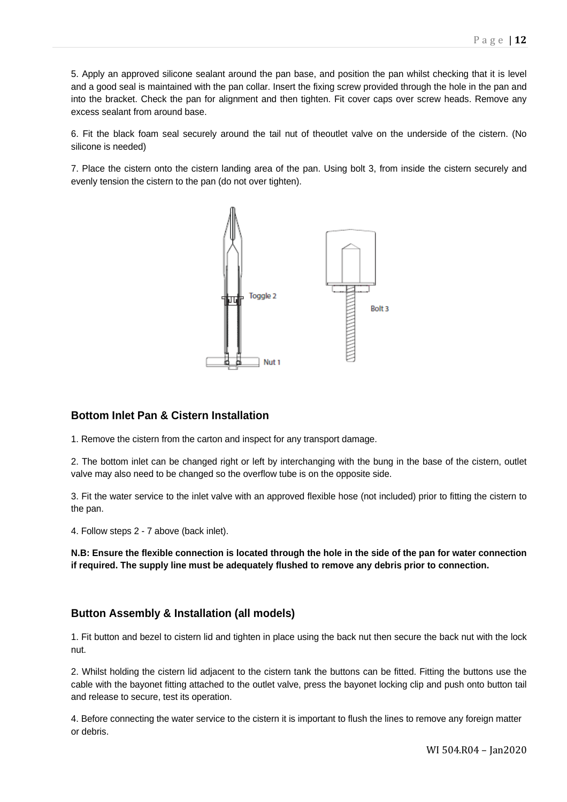5. Apply an approved silicone sealant around the pan base, and position the pan whilst checking that it is level and a good seal is maintained with the pan collar. Insert the fixing screw provided through the hole in the pan and into the bracket. Check the pan for alignment and then tighten. Fit cover caps over screw heads. Remove any excess sealant from around base.

6. Fit the black foam seal securely around the tail nut of theoutlet valve on the underside of the cistern. (No silicone is needed)

7. Place the cistern onto the cistern landing area of the pan. Using bolt 3, from inside the cistern securely and evenly tension the cistern to the pan (do not over tighten).



#### **Bottom Inlet Pan & Cistern Installation**

1. Remove the cistern from the carton and inspect for any transport damage.

2. The bottom inlet can be changed right or left by interchanging with the bung in the base of the cistern, outlet valve may also need to be changed so the overflow tube is on the opposite side.

3. Fit the water service to the inlet valve with an approved flexible hose (not included) prior to fitting the cistern to the pan.

4. Follow steps 2 - 7 above (back inlet).

**N.B: Ensure the flexible connection is located through the hole in the side of the pan for water connection if required. The supply line must be adequately flushed to remove any debris prior to connection.**

#### **Button Assembly & Installation (all models)**

1. Fit button and bezel to cistern lid and tighten in place using the back nut then secure the back nut with the lock nut.

2. Whilst holding the cistern lid adjacent to the cistern tank the buttons can be fitted. Fitting the buttons use the cable with the bayonet fitting attached to the outlet valve, press the bayonet locking clip and push onto button tail and release to secure, test its operation.

4. Before connecting the water service to the cistern it is important to flush the lines to remove any foreign matter or debris.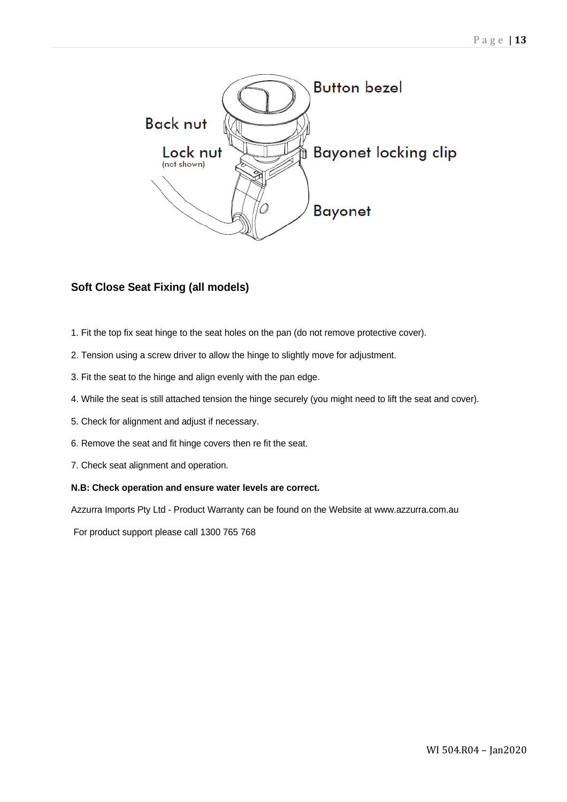

### **Soft Close Seat Fixing (all models)**

- 1. Fit the top fix seat hinge to the seat holes on the pan (do not remove protective cover).
- 2. Tension using a screw driver to allow the hinge to slightly move for adjustment.
- 3. Fit the seat to the hinge and align evenly with the pan edge.
- 4. While the seat is still attached tension the hinge securely (you might need to lift the seat and cover).
- 5. Check for alignment and adjust if necessary.
- 6. Remove the seat and fit hinge covers then re fit the seat.
- 7. Check seat alignment and operation.

#### **N.B: Check operation and ensure water levels are correct.**

Azzurra Imports Pty Ltd - Product Warranty can be found on the Website at www.azzurra.com.au

For product support please call 1300 765 768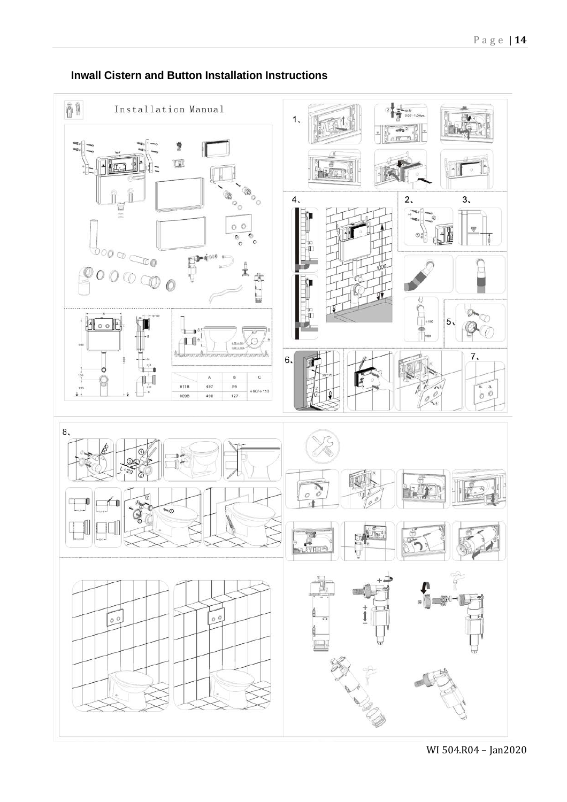

### **Inwall Cistern and Button Installation Instructions**